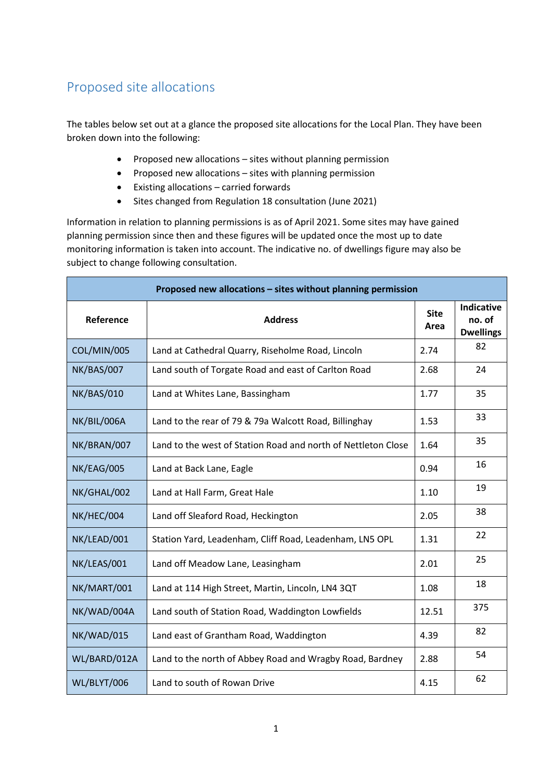## Proposed site allocations

The tables below set out at a glance the proposed site allocations for the Local Plan. They have been broken down into the following:

- Proposed new allocations sites without planning permission
- Proposed new allocations sites with planning permission
- Existing allocations carried forwards
- Sites changed from Regulation 18 consultation (June 2021)

Information in relation to planning permissions is as of April 2021. Some sites may have gained planning permission since then and these figures will be updated once the most up to date monitoring information is taken into account. The indicative no. of dwellings figure may also be subject to change following consultation.

| Proposed new allocations - sites without planning permission |                                                               |                     |                                                 |  |  |  |
|--------------------------------------------------------------|---------------------------------------------------------------|---------------------|-------------------------------------------------|--|--|--|
| Reference                                                    | <b>Address</b>                                                | <b>Site</b><br>Area | <b>Indicative</b><br>no. of<br><b>Dwellings</b> |  |  |  |
| COL/MIN/005                                                  | Land at Cathedral Quarry, Riseholme Road, Lincoln             | 2.74                | 82                                              |  |  |  |
| NK/BAS/007                                                   | Land south of Torgate Road and east of Carlton Road           | 2.68                | 24                                              |  |  |  |
| <b>NK/BAS/010</b>                                            | Land at Whites Lane, Bassingham                               | 1.77                | 35                                              |  |  |  |
| NK/BIL/006A                                                  | Land to the rear of 79 & 79a Walcott Road, Billinghay         | 1.53                | 33                                              |  |  |  |
| NK/BRAN/007                                                  | Land to the west of Station Road and north of Nettleton Close | 1.64                | 35                                              |  |  |  |
| NK/EAG/005                                                   | Land at Back Lane, Eagle                                      | 0.94                | 16                                              |  |  |  |
| NK/GHAL/002                                                  | Land at Hall Farm, Great Hale<br>1.10                         |                     | 19                                              |  |  |  |
| NK/HEC/004                                                   | Land off Sleaford Road, Heckington                            | 2.05                | 38                                              |  |  |  |
| NK/LEAD/001                                                  | Station Yard, Leadenham, Cliff Road, Leadenham, LN5 OPL       | 1.31                | 22                                              |  |  |  |
| NK/LEAS/001                                                  | Land off Meadow Lane, Leasingham                              | 2.01                | 25                                              |  |  |  |
| NK/MART/001                                                  | Land at 114 High Street, Martin, Lincoln, LN4 3QT             |                     | 18                                              |  |  |  |
| NK/WAD/004A                                                  | Land south of Station Road, Waddington Lowfields              |                     | 375                                             |  |  |  |
| NK/WAD/015                                                   | Land east of Grantham Road, Waddington                        | 4.39                | 82                                              |  |  |  |
| WL/BARD/012A                                                 | Land to the north of Abbey Road and Wragby Road, Bardney      | 2.88                | 54                                              |  |  |  |
| WL/BLYT/006                                                  | Land to south of Rowan Drive                                  | 4.15                | 62                                              |  |  |  |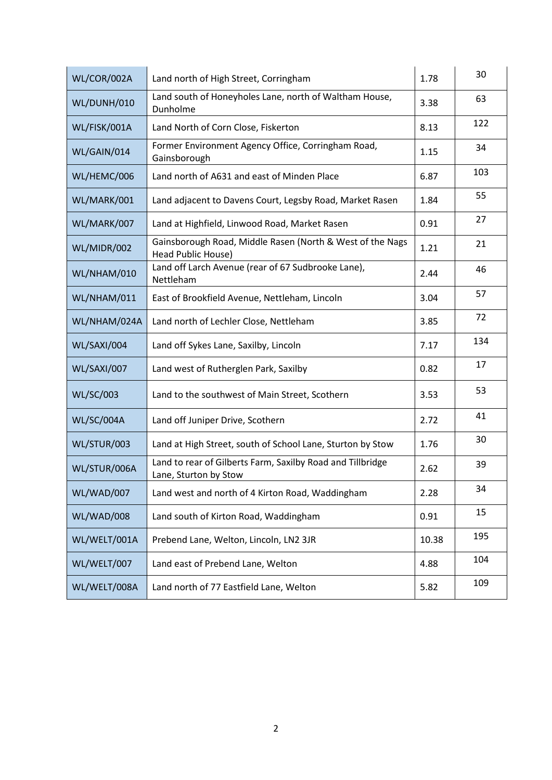| WL/COR/002A      | Land north of High Street, Corringham                                               | 1.78  | 30  |
|------------------|-------------------------------------------------------------------------------------|-------|-----|
| WL/DUNH/010      | Land south of Honeyholes Lane, north of Waltham House,<br>Dunholme                  | 3.38  | 63  |
| WL/FISK/001A     | Land North of Corn Close, Fiskerton                                                 | 8.13  | 122 |
| WL/GAIN/014      | Former Environment Agency Office, Corringham Road,<br>Gainsborough                  | 1.15  | 34  |
| WL/HEMC/006      | Land north of A631 and east of Minden Place                                         | 6.87  | 103 |
| WL/MARK/001      | Land adjacent to Davens Court, Legsby Road, Market Rasen                            | 1.84  | 55  |
| WL/MARK/007      | Land at Highfield, Linwood Road, Market Rasen                                       | 0.91  | 27  |
| WL/MIDR/002      | Gainsborough Road, Middle Rasen (North & West of the Nags<br>Head Public House)     | 1.21  | 21  |
| WL/NHAM/010      | Land off Larch Avenue (rear of 67 Sudbrooke Lane),<br>Nettleham                     | 2.44  | 46  |
| WL/NHAM/011      | East of Brookfield Avenue, Nettleham, Lincoln                                       | 3.04  | 57  |
| WL/NHAM/024A     | Land north of Lechler Close, Nettleham                                              | 3.85  | 72  |
| WL/SAXI/004      | Land off Sykes Lane, Saxilby, Lincoln                                               | 7.17  | 134 |
| WL/SAXI/007      | Land west of Rutherglen Park, Saxilby                                               | 0.82  | 17  |
| <b>WL/SC/003</b> | Land to the southwest of Main Street, Scothern                                      | 3.53  | 53  |
| WL/SC/004A       | Land off Juniper Drive, Scothern                                                    | 2.72  | 41  |
| WL/STUR/003      | Land at High Street, south of School Lane, Sturton by Stow                          | 1.76  | 30  |
| WL/STUR/006A     | Land to rear of Gilberts Farm, Saxilby Road and Tillbridge<br>Lane, Sturton by Stow | 2.62  | 39  |
| WL/WAD/007       | Land west and north of 4 Kirton Road, Waddingham                                    | 2.28  | 34  |
| WL/WAD/008       | Land south of Kirton Road, Waddingham                                               | 0.91  | 15  |
| WL/WELT/001A     | Prebend Lane, Welton, Lincoln, LN2 3JR                                              | 10.38 | 195 |
| WL/WELT/007      | Land east of Prebend Lane, Welton                                                   | 4.88  | 104 |
| WL/WELT/008A     | Land north of 77 Eastfield Lane, Welton                                             | 5.82  | 109 |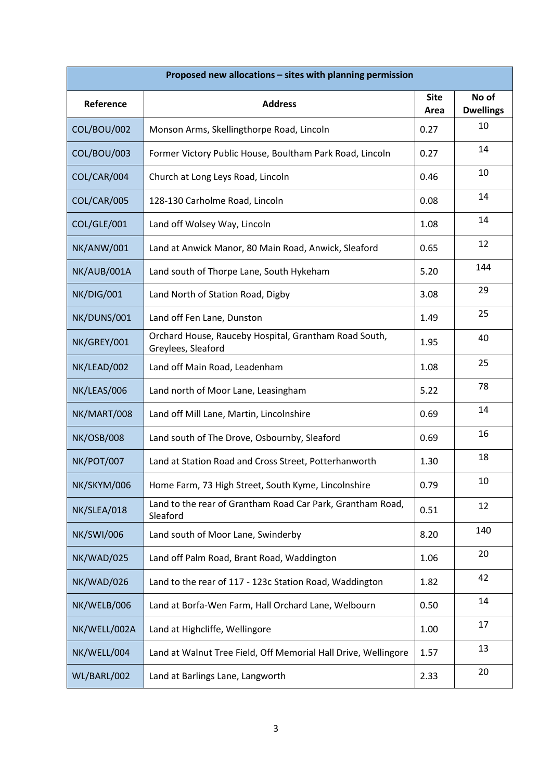| Proposed new allocations - sites with planning permission |                                                                             |                     |                           |  |  |
|-----------------------------------------------------------|-----------------------------------------------------------------------------|---------------------|---------------------------|--|--|
| Reference                                                 | <b>Address</b>                                                              | <b>Site</b><br>Area | No of<br><b>Dwellings</b> |  |  |
| COL/BOU/002                                               | Monson Arms, Skellingthorpe Road, Lincoln                                   | 0.27                | 10                        |  |  |
| COL/BOU/003                                               | Former Victory Public House, Boultham Park Road, Lincoln                    | 0.27                | 14                        |  |  |
| COL/CAR/004                                               | Church at Long Leys Road, Lincoln                                           | 0.46                | 10                        |  |  |
| COL/CAR/005                                               | 128-130 Carholme Road, Lincoln                                              | 0.08                | 14                        |  |  |
| COL/GLE/001                                               | Land off Wolsey Way, Lincoln                                                | 1.08                | 14                        |  |  |
| NK/ANW/001                                                | Land at Anwick Manor, 80 Main Road, Anwick, Sleaford                        | 0.65                | 12                        |  |  |
| NK/AUB/001A                                               | Land south of Thorpe Lane, South Hykeham                                    | 5.20                | 144                       |  |  |
| <b>NK/DIG/001</b>                                         | Land North of Station Road, Digby                                           | 3.08                | 29                        |  |  |
| NK/DUNS/001                                               | Land off Fen Lane, Dunston                                                  | 1.49                | 25                        |  |  |
| NK/GREY/001                                               | Orchard House, Rauceby Hospital, Grantham Road South,<br>Greylees, Sleaford | 1.95                | 40                        |  |  |
| NK/LEAD/002                                               | Land off Main Road, Leadenham                                               |                     | 25                        |  |  |
| NK/LEAS/006                                               | Land north of Moor Lane, Leasingham                                         | 5.22                | 78                        |  |  |
| NK/MART/008                                               | 0.69<br>Land off Mill Lane, Martin, Lincolnshire                            |                     | 14                        |  |  |
| <b>NK/OSB/008</b>                                         | Land south of The Drove, Osbournby, Sleaford                                | 0.69                | 16                        |  |  |
| <b>NK/POT/007</b>                                         | Land at Station Road and Cross Street, Potterhanworth                       | 1.30                | 18                        |  |  |
| NK/SKYM/006                                               | Home Farm, 73 High Street, South Kyme, Lincolnshire                         | 0.79                | 10                        |  |  |
| NK/SLEA/018                                               | Land to the rear of Grantham Road Car Park, Grantham Road,<br>Sleaford      | 0.51                | 12                        |  |  |
| <b>NK/SWI/006</b>                                         | Land south of Moor Lane, Swinderby                                          |                     | 140                       |  |  |
| NK/WAD/025                                                | Land off Palm Road, Brant Road, Waddington                                  | 1.06                | 20                        |  |  |
| NK/WAD/026                                                | Land to the rear of 117 - 123c Station Road, Waddington                     | 1.82                | 42                        |  |  |
| NK/WELB/006                                               | Land at Borfa-Wen Farm, Hall Orchard Lane, Welbourn                         | 0.50                | 14                        |  |  |
| NK/WELL/002A                                              | Land at Highcliffe, Wellingore                                              | 1.00                | 17                        |  |  |
| NK/WELL/004                                               | Land at Walnut Tree Field, Off Memorial Hall Drive, Wellingore              | 1.57                | 13                        |  |  |
| WL/BARL/002                                               | Land at Barlings Lane, Langworth                                            | 2.33                | 20                        |  |  |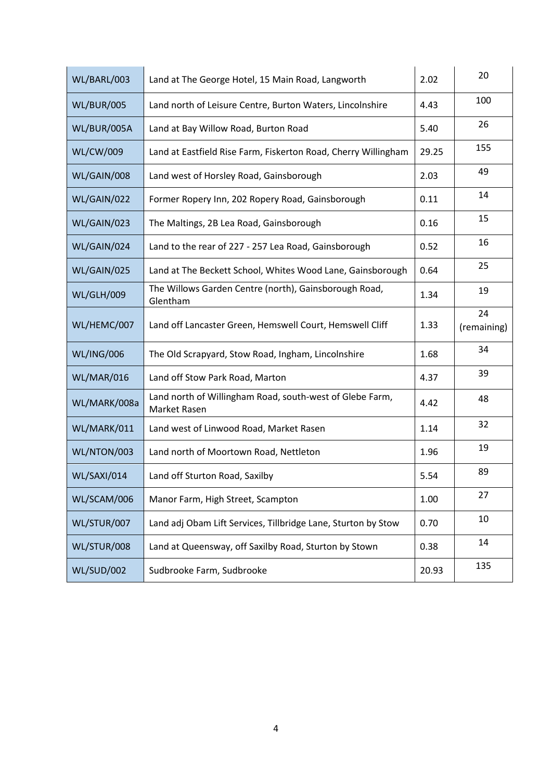| WL/BARL/003       | Land at The George Hotel, 15 Main Road, Langworth                        | 2.02  | 20                |
|-------------------|--------------------------------------------------------------------------|-------|-------------------|
| <b>WL/BUR/005</b> | Land north of Leisure Centre, Burton Waters, Lincolnshire                | 4.43  | 100               |
| WL/BUR/005A       | Land at Bay Willow Road, Burton Road                                     | 5.40  | 26                |
| <b>WL/CW/009</b>  | Land at Eastfield Rise Farm, Fiskerton Road, Cherry Willingham           | 29.25 | 155               |
| WL/GAIN/008       | Land west of Horsley Road, Gainsborough                                  | 2.03  | 49                |
| WL/GAIN/022       | Former Ropery Inn, 202 Ropery Road, Gainsborough                         | 0.11  | 14                |
| WL/GAIN/023       | The Maltings, 2B Lea Road, Gainsborough                                  | 0.16  | 15                |
| WL/GAIN/024       | Land to the rear of 227 - 257 Lea Road, Gainsborough                     | 0.52  | 16                |
| WL/GAIN/025       | Land at The Beckett School, Whites Wood Lane, Gainsborough               | 0.64  | 25                |
| <b>WL/GLH/009</b> | The Willows Garden Centre (north), Gainsborough Road,<br>Glentham        | 1.34  | 19                |
| WL/HEMC/007       | Land off Lancaster Green, Hemswell Court, Hemswell Cliff<br>1.33         |       | 24<br>(remaining) |
| <b>WL/ING/006</b> | The Old Scrapyard, Stow Road, Ingham, Lincolnshire                       | 1.68  | 34                |
| WL/MAR/016        | Land off Stow Park Road, Marton                                          | 4.37  | 39                |
| WL/MARK/008a      | Land north of Willingham Road, south-west of Glebe Farm,<br>Market Rasen | 4.42  | 48                |
| WL/MARK/011       | Land west of Linwood Road, Market Rasen                                  | 1.14  | 32                |
| WL/NTON/003       | Land north of Moortown Road, Nettleton                                   | 1.96  | 19                |
| WL/SAXI/014       | Land off Sturton Road, Saxilby                                           | 5.54  | 89                |
| WL/SCAM/006       | Manor Farm, High Street, Scampton                                        | 1.00  | 27                |
| WL/STUR/007       | Land adj Obam Lift Services, Tillbridge Lane, Sturton by Stow            | 0.70  | 10                |
| WL/STUR/008       | Land at Queensway, off Saxilby Road, Sturton by Stown                    | 0.38  | 14                |
| WL/SUD/002        | Sudbrooke Farm, Sudbrooke                                                | 20.93 | 135               |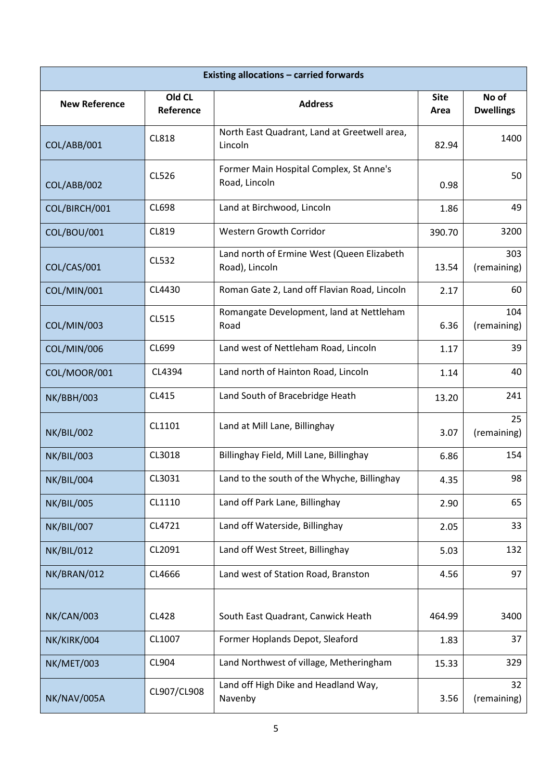| <b>Existing allocations - carried forwards</b> |                     |                                                              |                     |                           |
|------------------------------------------------|---------------------|--------------------------------------------------------------|---------------------|---------------------------|
| <b>New Reference</b>                           | Old CL<br>Reference | <b>Address</b>                                               | <b>Site</b><br>Area | No of<br><b>Dwellings</b> |
| COL/ABB/001                                    | <b>CL818</b>        | North East Quadrant, Land at Greetwell area,<br>Lincoln      | 82.94               | 1400                      |
| COL/ABB/002                                    | CL526               | Former Main Hospital Complex, St Anne's<br>Road, Lincoln     | 0.98                | 50                        |
| COL/BIRCH/001                                  | <b>CL698</b>        | Land at Birchwood, Lincoln                                   | 1.86                | 49                        |
| COL/BOU/001                                    | CL819               | <b>Western Growth Corridor</b>                               | 390.70              | 3200                      |
| COL/CAS/001                                    | <b>CL532</b>        | Land north of Ermine West (Queen Elizabeth<br>Road), Lincoln | 13.54               | 303<br>(remaining)        |
| COL/MIN/001                                    | CL4430              | Roman Gate 2, Land off Flavian Road, Lincoln                 | 2.17                | 60                        |
| COL/MIN/003                                    | CL515               | Romangate Development, land at Nettleham<br>Road             | 6.36                | 104<br>(remaining)        |
| COL/MIN/006                                    | CL699               | Land west of Nettleham Road, Lincoln                         | 1.17                | 39                        |
| COL/MOOR/001                                   | CL4394              | Land north of Hainton Road, Lincoln                          | 1.14                | 40                        |
| <b>NK/BBH/003</b>                              | CL415               | Land South of Bracebridge Heath                              | 13.20               | 241                       |
| <b>NK/BIL/002</b>                              | CL1101              | Land at Mill Lane, Billinghay                                | 3.07                | 25<br>(remaining)         |
| <b>NK/BIL/003</b>                              | CL3018              | Billinghay Field, Mill Lane, Billinghay                      | 6.86                | 154                       |
| NK/BIL/004                                     | CL3031              | Land to the south of the Whyche, Billinghay                  | 4.35                | 98                        |
| <b>NK/BIL/005</b>                              | CL1110              | Land off Park Lane, Billinghay                               | 2.90                | 65                        |
| <b>NK/BIL/007</b>                              | CL4721              | Land off Waterside, Billinghay                               | 2.05                | 33                        |
| <b>NK/BIL/012</b>                              | CL2091              | Land off West Street, Billinghay                             | 5.03                | 132                       |
| NK/BRAN/012                                    | CL4666              | Land west of Station Road, Branston                          | 4.56                | 97                        |
| NK/CAN/003                                     | <b>CL428</b>        | South East Quadrant, Canwick Heath                           | 464.99              | 3400                      |
| NK/KIRK/004                                    | CL1007              | Former Hoplands Depot, Sleaford                              | 1.83                | 37                        |
| NK/MET/003                                     | CL904               | Land Northwest of village, Metheringham                      | 15.33               | 329                       |
| NK/NAV/005A                                    | CL907/CL908         | Land off High Dike and Headland Way,<br>Navenby              | 3.56                | 32<br>(remaining)         |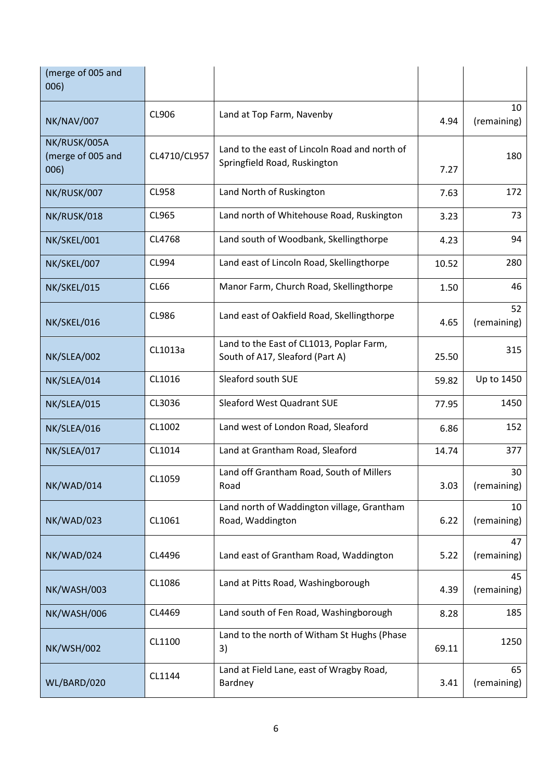| (merge of 005 and<br>006)                 |              |                                                                               |       |                   |
|-------------------------------------------|--------------|-------------------------------------------------------------------------------|-------|-------------------|
| NK/NAV/007                                | CL906        | Land at Top Farm, Navenby                                                     | 4.94  | 10<br>(remaining) |
| NK/RUSK/005A<br>(merge of 005 and<br>006) | CL4710/CL957 | Land to the east of Lincoln Road and north of<br>Springfield Road, Ruskington | 7.27  | 180               |
| NK/RUSK/007                               | <b>CL958</b> | Land North of Ruskington                                                      | 7.63  | 172               |
| NK/RUSK/018                               | CL965        | Land north of Whitehouse Road, Ruskington                                     | 3.23  | 73                |
| NK/SKEL/001                               | CL4768       | Land south of Woodbank, Skellingthorpe                                        | 4.23  | 94                |
| NK/SKEL/007                               | CL994        | Land east of Lincoln Road, Skellingthorpe                                     | 10.52 | 280               |
| NK/SKEL/015                               | CL66         | Manor Farm, Church Road, Skellingthorpe                                       | 1.50  | 46                |
| NK/SKEL/016                               | <b>CL986</b> | Land east of Oakfield Road, Skellingthorpe                                    | 4.65  | 52<br>(remaining) |
| NK/SLEA/002                               | CL1013a      | Land to the East of CL1013, Poplar Farm,<br>South of A17, Sleaford (Part A)   | 25.50 | 315               |
| NK/SLEA/014                               | CL1016       | Sleaford south SUE                                                            | 59.82 | Up to 1450        |
| NK/SLEA/015                               | CL3036       | Sleaford West Quadrant SUE                                                    | 77.95 | 1450              |
| NK/SLEA/016                               | CL1002       | Land west of London Road, Sleaford                                            | 6.86  | 152               |
| NK/SLEA/017                               | CL1014       | Land at Grantham Road, Sleaford                                               | 14.74 | 377               |
| NK/WAD/014                                | CL1059       | Land off Grantham Road, South of Millers<br>Road                              | 3.03  | 30<br>(remaining) |
| NK/WAD/023                                | CL1061       | Land north of Waddington village, Grantham<br>Road, Waddington                | 6.22  | 10<br>(remaining) |
| NK/WAD/024                                | CL4496       | Land east of Grantham Road, Waddington                                        | 5.22  | 47<br>(remaining) |
| NK/WASH/003                               | CL1086       | Land at Pitts Road, Washingborough                                            | 4.39  | 45<br>(remaining) |
| NK/WASH/006                               | CL4469       | Land south of Fen Road, Washingborough                                        | 8.28  | 185               |
| <b>NK/WSH/002</b>                         | CL1100       | Land to the north of Witham St Hughs (Phase<br>3)                             | 69.11 | 1250              |
| WL/BARD/020                               | CL1144       | Land at Field Lane, east of Wragby Road,<br>Bardney                           | 3.41  | 65<br>(remaining) |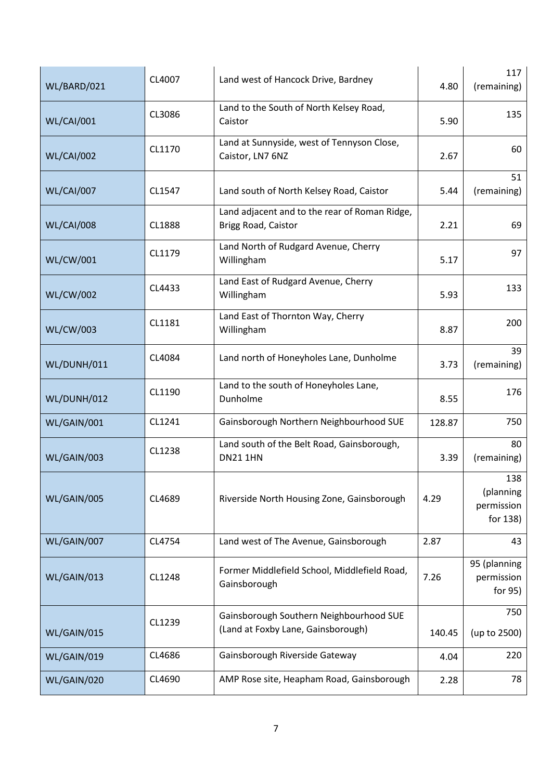| WL/BARD/021       | CL4007 | Land west of Hancock Drive, Bardney                                           |        | 117<br>(remaining)                         |
|-------------------|--------|-------------------------------------------------------------------------------|--------|--------------------------------------------|
| <b>WL/CAI/001</b> | CL3086 | Land to the South of North Kelsey Road,<br>Caistor                            |        | 135                                        |
| <b>WL/CAI/002</b> | CL1170 | Land at Sunnyside, west of Tennyson Close,<br>Caistor, LN7 6NZ                | 2.67   | 60                                         |
| <b>WL/CAI/007</b> | CL1547 | Land south of North Kelsey Road, Caistor                                      | 5.44   | 51<br>(remaining)                          |
| <b>WL/CAI/008</b> | CL1888 | Land adjacent and to the rear of Roman Ridge,<br>Brigg Road, Caistor          | 2.21   | 69                                         |
| <b>WL/CW/001</b>  | CL1179 | Land North of Rudgard Avenue, Cherry<br>Willingham                            | 5.17   | 97                                         |
| <b>WL/CW/002</b>  | CL4433 | Land East of Rudgard Avenue, Cherry<br>Willingham                             | 5.93   | 133                                        |
| <b>WL/CW/003</b>  | CL1181 | Land East of Thornton Way, Cherry<br>Willingham                               |        | 200                                        |
| WL/DUNH/011       | CL4084 | Land north of Honeyholes Lane, Dunholme                                       | 3.73   | 39<br>(remaining)                          |
| WL/DUNH/012       | CL1190 | Land to the south of Honeyholes Lane,<br>Dunholme                             | 8.55   | 176                                        |
| WL/GAIN/001       | CL1241 | Gainsborough Northern Neighbourhood SUE                                       | 128.87 | 750                                        |
| WL/GAIN/003       | CL1238 | Land south of the Belt Road, Gainsborough,<br><b>DN21 1HN</b>                 | 3.39   | 80<br>(remaining)                          |
| WL/GAIN/005       | CL4689 | Riverside North Housing Zone, Gainsborough                                    | 4.29   | 138<br>(planning<br>permission<br>for 138) |
| WL/GAIN/007       | CL4754 | Land west of The Avenue, Gainsborough                                         | 2.87   | 43                                         |
| WL/GAIN/013       | CL1248 | Former Middlefield School, Middlefield Road,<br>Gainsborough                  | 7.26   | 95 (planning<br>permission<br>for 95)      |
| WL/GAIN/015       | CL1239 | Gainsborough Southern Neighbourhood SUE<br>(Land at Foxby Lane, Gainsborough) | 140.45 | 750<br>(up to 2500)                        |
| WL/GAIN/019       | CL4686 | Gainsborough Riverside Gateway                                                | 4.04   | 220                                        |
| WL/GAIN/020       | CL4690 | AMP Rose site, Heapham Road, Gainsborough                                     | 2.28   | 78                                         |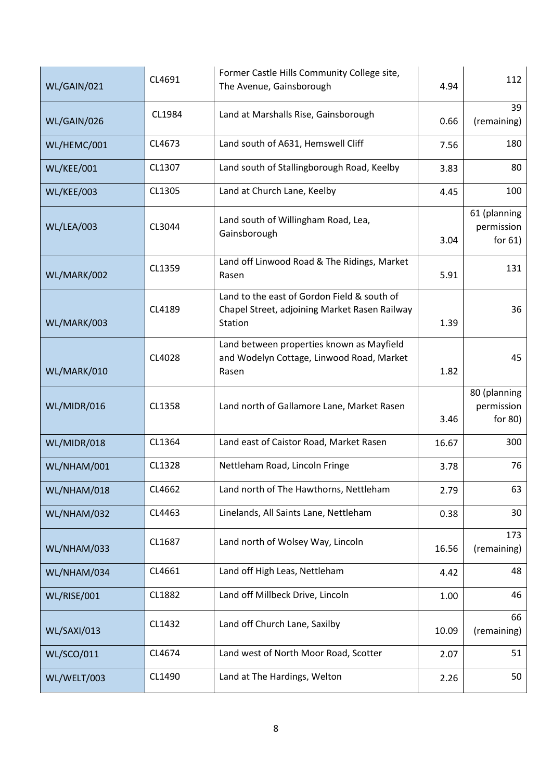| WL/GAIN/021       | CL4691 | Former Castle Hills Community College site,<br>The Avenue, Gainsborough                                 |       | 112                                      |
|-------------------|--------|---------------------------------------------------------------------------------------------------------|-------|------------------------------------------|
| WL/GAIN/026       | CL1984 | Land at Marshalls Rise, Gainsborough                                                                    |       | 39<br>(remaining)                        |
| WL/HEMC/001       | CL4673 | Land south of A631, Hemswell Cliff                                                                      | 7.56  | 180                                      |
| WL/KEE/001        | CL1307 | Land south of Stallingborough Road, Keelby                                                              | 3.83  | 80                                       |
| <b>WL/KEE/003</b> | CL1305 | Land at Church Lane, Keelby                                                                             | 4.45  | 100                                      |
| WL/LEA/003        | CL3044 | Land south of Willingham Road, Lea,<br>Gainsborough                                                     |       | 61 (planning<br>permission<br>for $61$ ) |
| WL/MARK/002       | CL1359 | Land off Linwood Road & The Ridings, Market<br>Rasen                                                    | 5.91  | 131                                      |
| WL/MARK/003       | CL4189 | Land to the east of Gordon Field & south of<br>Chapel Street, adjoining Market Rasen Railway<br>Station |       | 36                                       |
| WL/MARK/010       | CL4028 | Land between properties known as Mayfield<br>and Wodelyn Cottage, Linwood Road, Market<br>Rasen         |       | 45                                       |
| WL/MIDR/016       | CL1358 | Land north of Gallamore Lane, Market Rasen                                                              |       | 80 (planning<br>permission<br>for 80)    |
| WL/MIDR/018       | CL1364 | Land east of Caistor Road, Market Rasen                                                                 | 16.67 | 300                                      |
| WL/NHAM/001       | CL1328 | Nettleham Road, Lincoln Fringe                                                                          | 3.78  | 76                                       |
| WL/NHAM/018       | CL4662 | Land north of The Hawthorns, Nettleham                                                                  | 2.79  | 63                                       |
| WL/NHAM/032       | CL4463 | Linelands, All Saints Lane, Nettleham                                                                   | 0.38  | 30                                       |
| WL/NHAM/033       | CL1687 | Land north of Wolsey Way, Lincoln                                                                       |       | 173<br>(remaining)                       |
| WL/NHAM/034       | CL4661 | Land off High Leas, Nettleham                                                                           | 4.42  | 48                                       |
| WL/RISE/001       | CL1882 | Land off Millbeck Drive, Lincoln                                                                        | 1.00  | 46                                       |
| WL/SAXI/013       | CL1432 | Land off Church Lane, Saxilby                                                                           |       | 66<br>(remaining)                        |
| <b>WL/SCO/011</b> | CL4674 | Land west of North Moor Road, Scotter                                                                   | 2.07  | 51                                       |
| WL/WELT/003       | CL1490 | Land at The Hardings, Welton                                                                            | 2.26  | 50                                       |
|                   |        |                                                                                                         |       |                                          |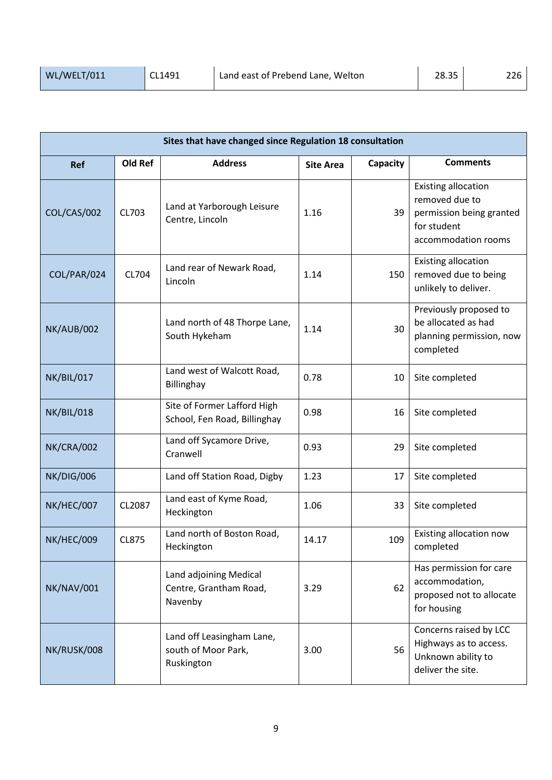| Sites that have changed since Regulation 18 consultation |              |                                                                |                  |          |                                                                                                                |  |  |
|----------------------------------------------------------|--------------|----------------------------------------------------------------|------------------|----------|----------------------------------------------------------------------------------------------------------------|--|--|
| <b>Ref</b>                                               | Old Ref      | <b>Address</b>                                                 | <b>Site Area</b> | Capacity | <b>Comments</b>                                                                                                |  |  |
| COL/CAS/002                                              | CL703        | Land at Yarborough Leisure<br>Centre, Lincoln                  | 1.16             | 39       | <b>Existing allocation</b><br>removed due to<br>permission being granted<br>for student<br>accommodation rooms |  |  |
| COL/PAR/024                                              | CL704        | Land rear of Newark Road,<br>Lincoln                           | 1.14             | 150      | <b>Existing allocation</b><br>removed due to being<br>unlikely to deliver.                                     |  |  |
| <b>NK/AUB/002</b>                                        |              | Land north of 48 Thorpe Lane,<br>South Hykeham                 | 1.14             | 30       | Previously proposed to<br>be allocated as had<br>planning permission, now<br>completed                         |  |  |
| NK/BIL/017                                               |              | Land west of Walcott Road,<br>Billinghay                       | 0.78             | 10       | Site completed                                                                                                 |  |  |
| <b>NK/BIL/018</b>                                        |              | Site of Former Lafford High<br>School, Fen Road, Billinghay    | 0.98             | 16       | Site completed                                                                                                 |  |  |
| NK/CRA/002                                               |              | Land off Sycamore Drive,<br>Cranwell                           | 0.93             | 29       | Site completed                                                                                                 |  |  |
| <b>NK/DIG/006</b>                                        |              | Land off Station Road, Digby                                   | 1.23             | 17       | Site completed                                                                                                 |  |  |
| NK/HEC/007                                               | CL2087       | Land east of Kyme Road,<br>Heckington                          | 1.06             | 33       | Site completed                                                                                                 |  |  |
| <b>NK/HEC/009</b>                                        | <b>CL875</b> | Land north of Boston Road,<br>Heckington                       | 14.17            | 109      | Existing allocation now<br>completed                                                                           |  |  |
| NK/NAV/001                                               |              | Land adjoining Medical<br>Centre, Grantham Road,<br>Navenby    | 3.29             | 62       | Has permission for care<br>accommodation,<br>proposed not to allocate<br>for housing                           |  |  |
| NK/RUSK/008                                              |              | Land off Leasingham Lane,<br>south of Moor Park,<br>Ruskington | 3.00             | 56       | Concerns raised by LCC<br>Highways as to access.<br>Unknown ability to<br>deliver the site.                    |  |  |